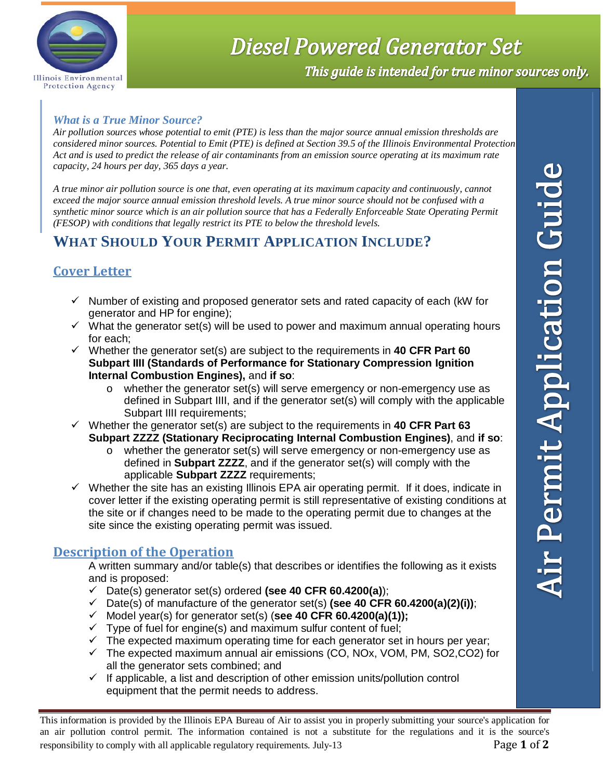

# **Diesel Powered Generator Set**

This guide is intended for true minor sources only.

#### *What is a True Minor Source?*

*Air pollution sources whose potential to emit (PTE) is less than the major source annual emission thresholds are considered minor sources. Potential to Emit (PTE) is defined at Section 39.5 of the Illinois Environmental Protection Act and is used to predict the release of air contaminants from an emission source operating at its maximum rate capacity, 24 hours per day, 365 days a year.* 

*A true minor air pollution source is one that, even operating at its maximum capacity and continuously, cannot exceed the major source annual emission threshold levels. A true minor source should not be confused with a synthetic minor source which is an air pollution source that has a Federally Enforceable State Operating Permit (FESOP) with conditions that legally restrict its PTE to below the threshold levels.* 

# **WHAT SHOULD YOUR PERMIT APPLICATION INCLUDE?**

## **Cover Letter**

- $\checkmark$  Number of existing and proposed generator sets and rated capacity of each (kW for generator and HP for engine);
- $\checkmark$  What the generator set(s) will be used to power and maximum annual operating hours for each;
- Whether the generator set(s) are subject to the requirements in **40 CFR Part 60 Subpart IIII (Standards of Performance for Stationary Compression Ignition Internal Combustion Engines),** and **if so**:
	- o whether the generator set(s) will serve emergency or non-emergency use as defined in Subpart IIII, and if the generator set(s) will comply with the applicable Subpart IIII requirements;
- $\checkmark$  Whether the generator set(s) are subject to the requirements in **40 CFR Part 63 Subpart ZZZZ (Stationary Reciprocating Internal Combustion Engines)**, and **if so**:
	- o whether the generator set(s) will serve emergency or non-emergency use as defined in **Subpart ZZZZ**, and if the generator set(s) will comply with the applicable **Subpart ZZZZ** requirements;
- $\checkmark$  Whether the site has an existing Illinois EPA air operating permit. If it does, indicate in cover letter if the existing operating permit is still representative of existing conditions at the site or if changes need to be made to the operating permit due to changes at the site since the existing operating permit was issued.

### **Description of the Operation**

A written summary and/or table(s) that describes or identifies the following as it exists and is proposed:

- Date(s) generator set(s) ordered **(see 40 CFR 60.4200(a)**);
- $\checkmark$  Date(s) of manufacture of the generator set(s) (see 40 CFR 60.4200(a)(2)(i));
- $\checkmark$  Model year(s) for generator set(s) (see 40 CFR 60.4200(a)(1));
- $\checkmark$  Type of fuel for engine(s) and maximum sulfur content of fuel;
- $\checkmark$  The expected maximum operating time for each generator set in hours per year;
- $\checkmark$  The expected maximum annual air emissions (CO, NOx, VOM, PM, SO2, CO2) for all the generator sets combined; and
- $\checkmark$  If applicable, a list and description of other emission units/pollution control equipment that the permit needs to address.

This information is provided by the Illinois EPA Bureau of Air to assist you in properly submitting your source's application for an air pollution control permit. The information contained is not a substitute for the regulations and it is the source's responsibility to comply with all applicable regulatory requirements. July-13 Page **1** of **2**